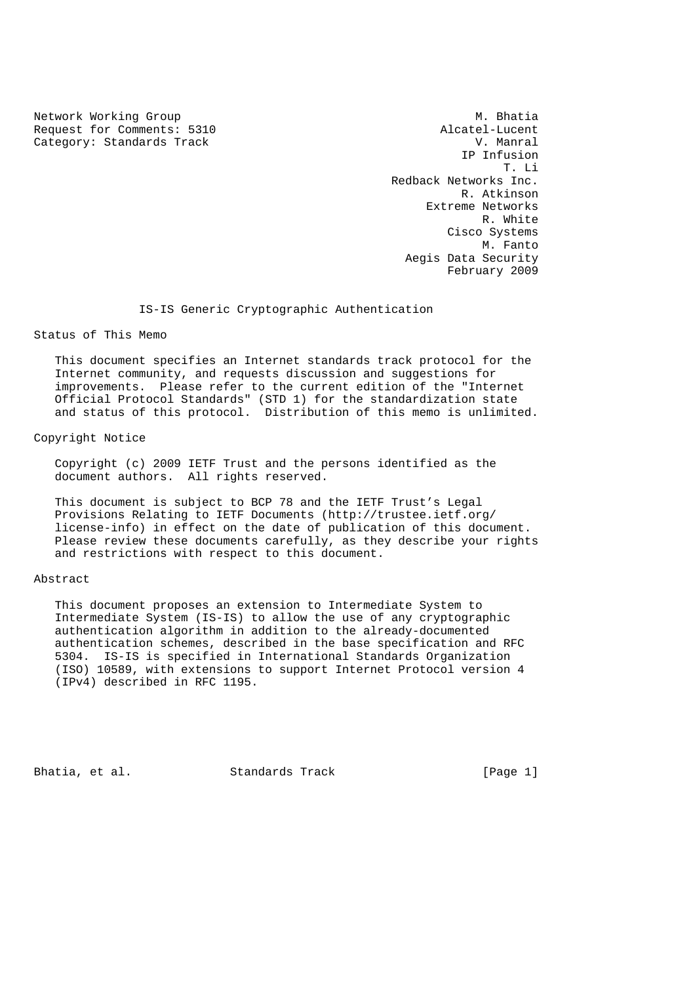Network Working Group Methods and Museum Museum Museum Museum Museum Museum Museum Museum Museum Museum Museum Request for Comments: 5310 <br>Category: Standards Track and Manual Category: Standards Track Category: Standards Track

 IP Infusion T. Li Redback Networks Inc. R. Atkinson Extreme Networks R. White Cisco Systems M. Fanto Aegis Data Security February 2009

IS-IS Generic Cryptographic Authentication

Status of This Memo

 This document specifies an Internet standards track protocol for the Internet community, and requests discussion and suggestions for improvements. Please refer to the current edition of the "Internet Official Protocol Standards" (STD 1) for the standardization state and status of this protocol. Distribution of this memo is unlimited.

Copyright Notice

 Copyright (c) 2009 IETF Trust and the persons identified as the document authors. All rights reserved.

 This document is subject to BCP 78 and the IETF Trust's Legal Provisions Relating to IETF Documents (http://trustee.ietf.org/ license-info) in effect on the date of publication of this document. Please review these documents carefully, as they describe your rights and restrictions with respect to this document.

# Abstract

 This document proposes an extension to Intermediate System to Intermediate System (IS-IS) to allow the use of any cryptographic authentication algorithm in addition to the already-documented authentication schemes, described in the base specification and RFC 5304. IS-IS is specified in International Standards Organization (ISO) 10589, with extensions to support Internet Protocol version 4 (IPv4) described in RFC 1195.

Bhatia, et al. Standards Track [Page 1]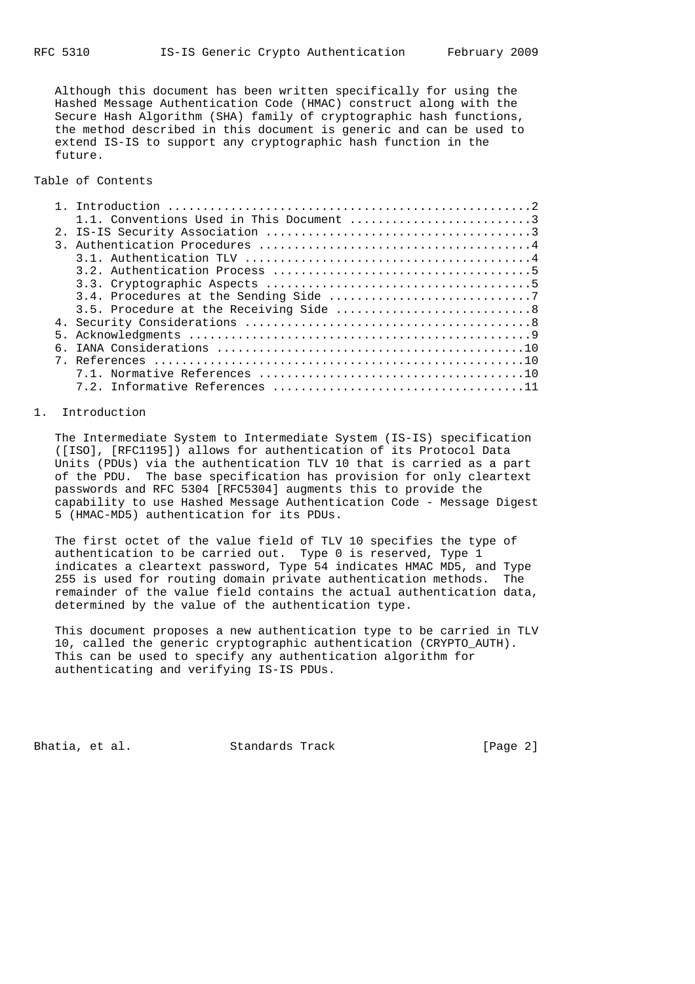Although this document has been written specifically for using the Hashed Message Authentication Code (HMAC) construct along with the Secure Hash Algorithm (SHA) family of cryptographic hash functions, the method described in this document is generic and can be used to extend IS-IS to support any cryptographic hash function in the future.

Table of Contents

### 1. Introduction

 The Intermediate System to Intermediate System (IS-IS) specification ([ISO], [RFC1195]) allows for authentication of its Protocol Data Units (PDUs) via the authentication TLV 10 that is carried as a part of the PDU. The base specification has provision for only cleartext passwords and RFC 5304 [RFC5304] augments this to provide the capability to use Hashed Message Authentication Code - Message Digest 5 (HMAC-MD5) authentication for its PDUs.

 The first octet of the value field of TLV 10 specifies the type of authentication to be carried out. Type 0 is reserved, Type 1 indicates a cleartext password, Type 54 indicates HMAC MD5, and Type 255 is used for routing domain private authentication methods. The remainder of the value field contains the actual authentication data, determined by the value of the authentication type.

 This document proposes a new authentication type to be carried in TLV 10, called the generic cryptographic authentication (CRYPTO\_AUTH). This can be used to specify any authentication algorithm for authenticating and verifying IS-IS PDUs.

Bhatia, et al. Standards Track [Page 2]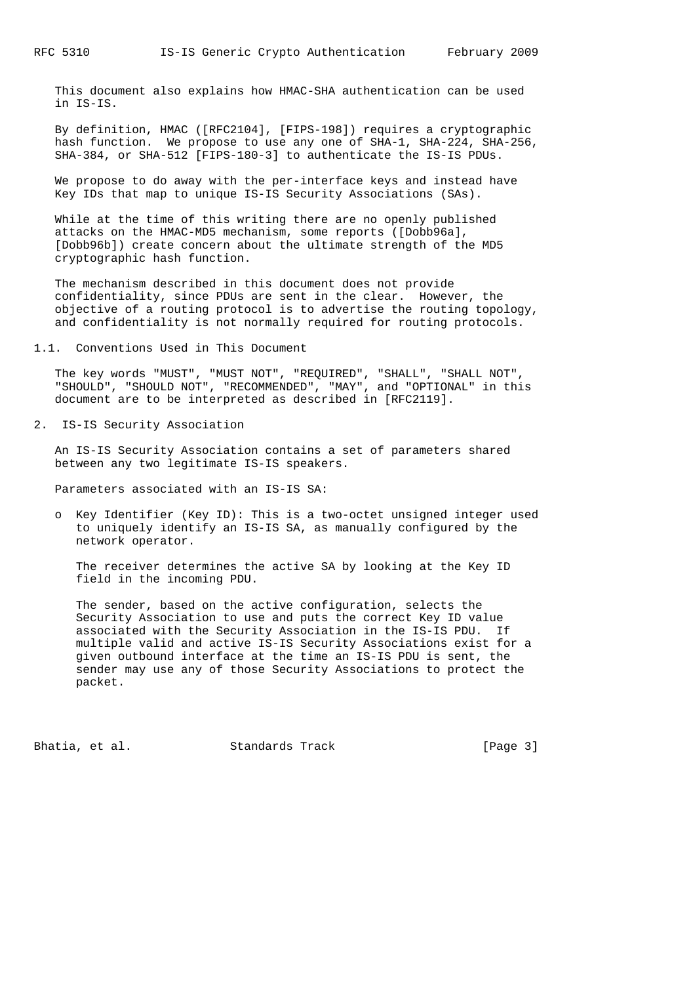This document also explains how HMAC-SHA authentication can be used in IS-IS.

 By definition, HMAC ([RFC2104], [FIPS-198]) requires a cryptographic hash function. We propose to use any one of SHA-1, SHA-224, SHA-256, SHA-384, or SHA-512 [FIPS-180-3] to authenticate the IS-IS PDUs.

 We propose to do away with the per-interface keys and instead have Key IDs that map to unique IS-IS Security Associations (SAs).

 While at the time of this writing there are no openly published attacks on the HMAC-MD5 mechanism, some reports ([Dobb96a], [Dobb96b]) create concern about the ultimate strength of the MD5 cryptographic hash function.

 The mechanism described in this document does not provide confidentiality, since PDUs are sent in the clear. However, the objective of a routing protocol is to advertise the routing topology, and confidentiality is not normally required for routing protocols.

1.1. Conventions Used in This Document

 The key words "MUST", "MUST NOT", "REQUIRED", "SHALL", "SHALL NOT", "SHOULD", "SHOULD NOT", "RECOMMENDED", "MAY", and "OPTIONAL" in this document are to be interpreted as described in [RFC2119].

2. IS-IS Security Association

 An IS-IS Security Association contains a set of parameters shared between any two legitimate IS-IS speakers.

Parameters associated with an IS-IS SA:

 o Key Identifier (Key ID): This is a two-octet unsigned integer used to uniquely identify an IS-IS SA, as manually configured by the network operator.

 The receiver determines the active SA by looking at the Key ID field in the incoming PDU.

 The sender, based on the active configuration, selects the Security Association to use and puts the correct Key ID value associated with the Security Association in the IS-IS PDU. If multiple valid and active IS-IS Security Associations exist for a given outbound interface at the time an IS-IS PDU is sent, the sender may use any of those Security Associations to protect the packet.

Bhatia, et al. Standards Track [Page 3]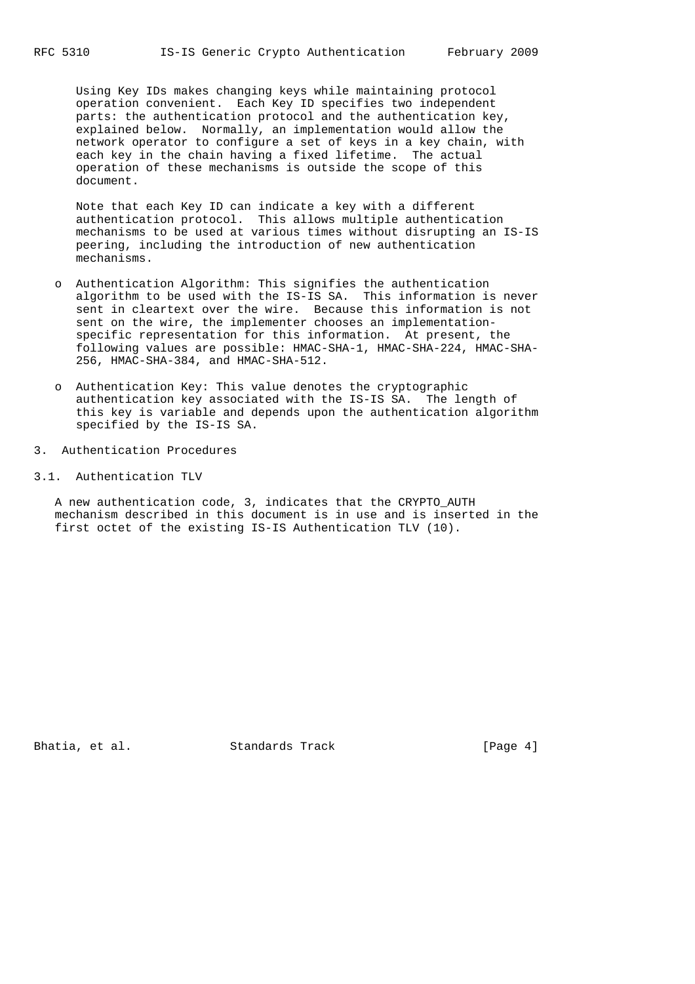Using Key IDs makes changing keys while maintaining protocol operation convenient. Each Key ID specifies two independent parts: the authentication protocol and the authentication key, explained below. Normally, an implementation would allow the network operator to configure a set of keys in a key chain, with each key in the chain having a fixed lifetime. The actual operation of these mechanisms is outside the scope of this document.

 Note that each Key ID can indicate a key with a different authentication protocol. This allows multiple authentication mechanisms to be used at various times without disrupting an IS-IS peering, including the introduction of new authentication mechanisms.

- o Authentication Algorithm: This signifies the authentication algorithm to be used with the IS-IS SA. This information is never sent in cleartext over the wire. Because this information is not sent on the wire, the implementer chooses an implementation specific representation for this information. At present, the following values are possible: HMAC-SHA-1, HMAC-SHA-224, HMAC-SHA- 256, HMAC-SHA-384, and HMAC-SHA-512.
- o Authentication Key: This value denotes the cryptographic authentication key associated with the IS-IS SA. The length of this key is variable and depends upon the authentication algorithm specified by the IS-IS SA.
- 3. Authentication Procedures
- 3.1. Authentication TLV

 A new authentication code, 3, indicates that the CRYPTO\_AUTH mechanism described in this document is in use and is inserted in the first octet of the existing IS-IS Authentication TLV (10).

Bhatia, et al. Standards Track [Page 4]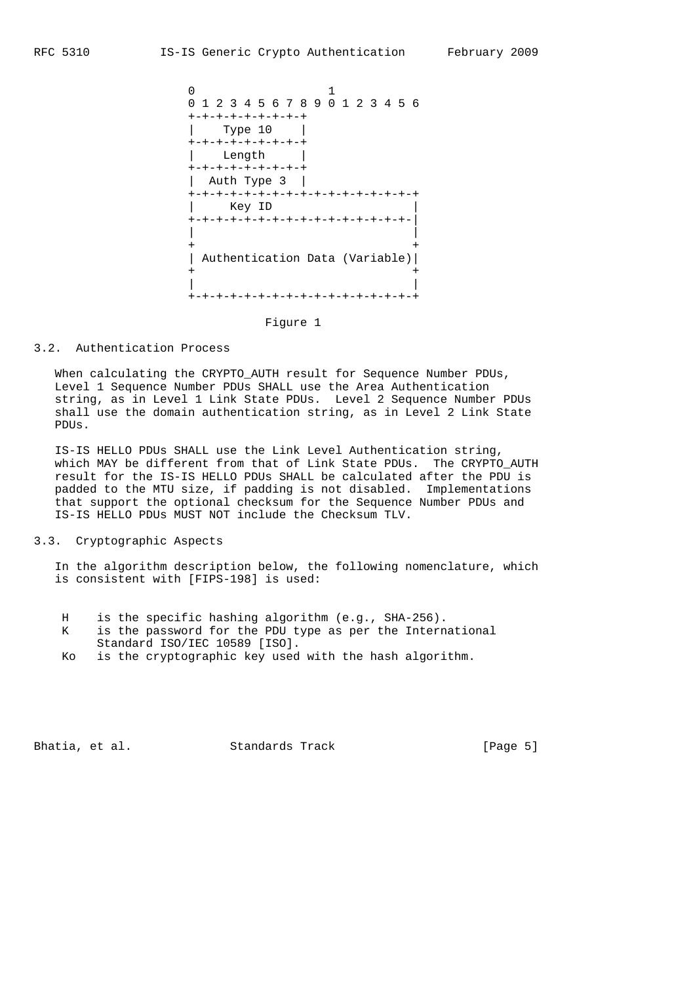

Figure 1

### 3.2. Authentication Process

 When calculating the CRYPTO\_AUTH result for Sequence Number PDUs, Level 1 Sequence Number PDUs SHALL use the Area Authentication string, as in Level 1 Link State PDUs. Level 2 Sequence Number PDUs shall use the domain authentication string, as in Level 2 Link State PDUs.

 IS-IS HELLO PDUs SHALL use the Link Level Authentication string, which MAY be different from that of Link State PDUs. The CRYPTO AUTH result for the IS-IS HELLO PDUs SHALL be calculated after the PDU is padded to the MTU size, if padding is not disabled. Implementations that support the optional checksum for the Sequence Number PDUs and IS-IS HELLO PDUs MUST NOT include the Checksum TLV.

# 3.3. Cryptographic Aspects

 In the algorithm description below, the following nomenclature, which is consistent with [FIPS-198] is used:

- H is the specific hashing algorithm (e.g., SHA-256).
- K is the password for the PDU type as per the International Standard ISO/IEC 10589 [ISO].
- Ko is the cryptographic key used with the hash algorithm.

Bhatia, et al. Standards Track [Page 5]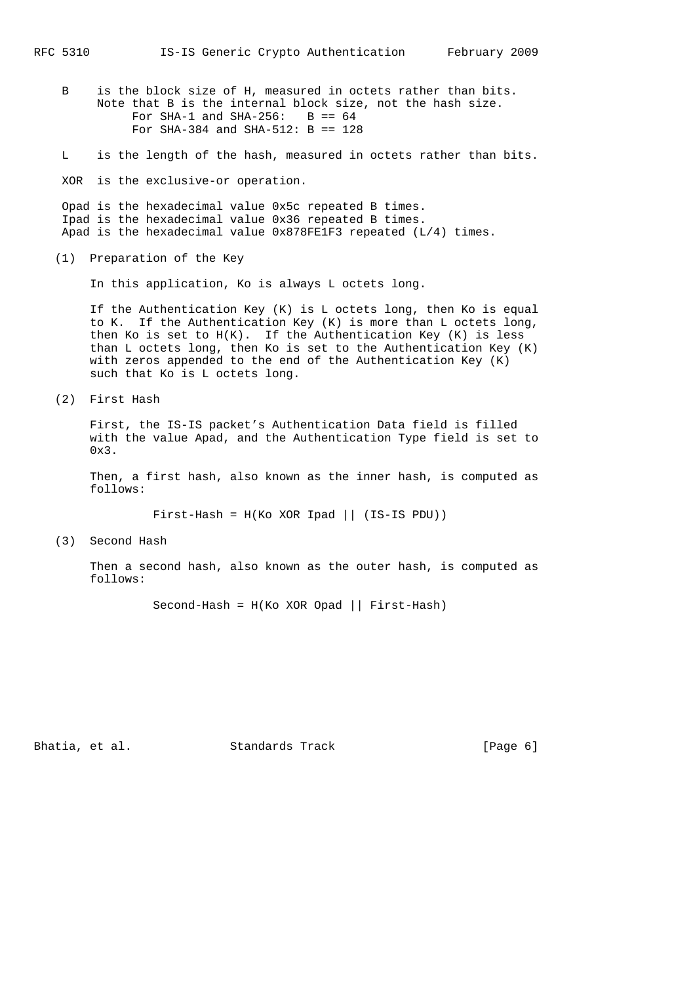- B is the block size of H, measured in octets rather than bits. Note that B is the internal block size, not the hash size. For SHA-1 and SHA-256:  $B == 64$ For SHA-384 and SHA-512: B == 128
- L is the length of the hash, measured in octets rather than bits.

XOR is the exclusive-or operation.

 Opad is the hexadecimal value 0x5c repeated B times. Ipad is the hexadecimal value 0x36 repeated B times. Apad is the hexadecimal value 0x878FE1F3 repeated (L/4) times.

(1) Preparation of the Key

In this application, Ko is always L octets long.

 If the Authentication Key (K) is L octets long, then Ko is equal to K. If the Authentication Key (K) is more than L octets long, then Ko is set to H(K). If the Authentication Key (K) is less than L octets long, then Ko is set to the Authentication Key (K) with zeros appended to the end of the Authentication Key (K) such that Ko is L octets long.

(2) First Hash

 First, the IS-IS packet's Authentication Data field is filled with the value Apad, and the Authentication Type field is set to 0x3.

 Then, a first hash, also known as the inner hash, is computed as follows:

First-Hash = H(Ko XOR Ipad || (IS-IS PDU))

(3) Second Hash

 Then a second hash, also known as the outer hash, is computed as follows:

Second-Hash = H(Ko XOR Opad || First-Hash)

Bhatia, et al. Standards Track [Page 6]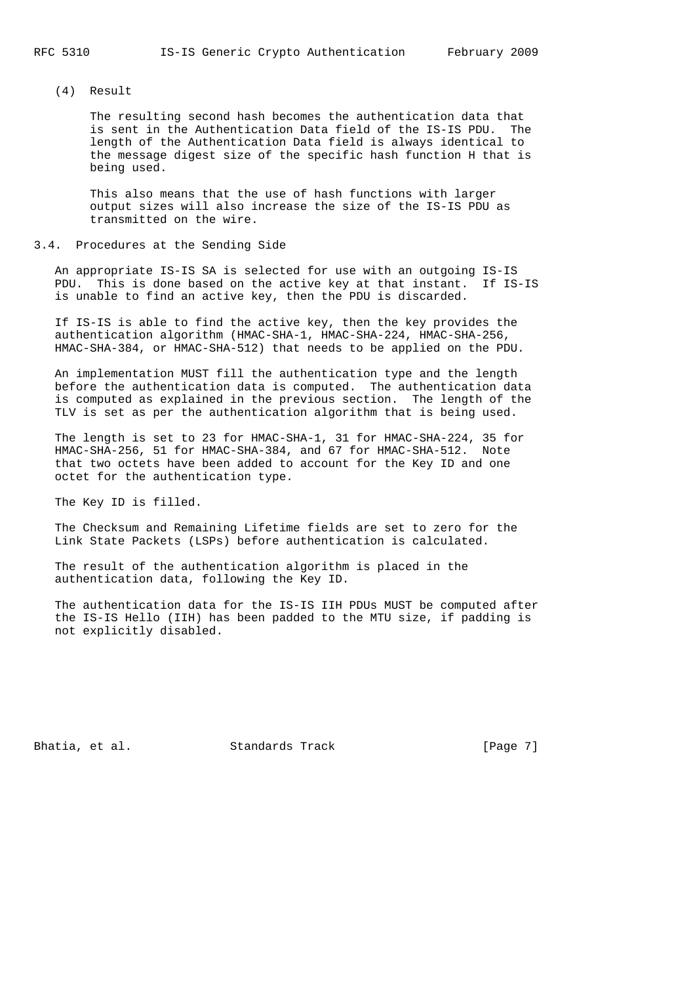## (4) Result

 The resulting second hash becomes the authentication data that is sent in the Authentication Data field of the IS-IS PDU. The length of the Authentication Data field is always identical to the message digest size of the specific hash function H that is being used.

 This also means that the use of hash functions with larger output sizes will also increase the size of the IS-IS PDU as transmitted on the wire.

#### 3.4. Procedures at the Sending Side

 An appropriate IS-IS SA is selected for use with an outgoing IS-IS PDU. This is done based on the active key at that instant. If IS-IS is unable to find an active key, then the PDU is discarded.

 If IS-IS is able to find the active key, then the key provides the authentication algorithm (HMAC-SHA-1, HMAC-SHA-224, HMAC-SHA-256, HMAC-SHA-384, or HMAC-SHA-512) that needs to be applied on the PDU.

 An implementation MUST fill the authentication type and the length before the authentication data is computed. The authentication data is computed as explained in the previous section. The length of the TLV is set as per the authentication algorithm that is being used.

 The length is set to 23 for HMAC-SHA-1, 31 for HMAC-SHA-224, 35 for HMAC-SHA-256, 51 for HMAC-SHA-384, and 67 for HMAC-SHA-512. Note that two octets have been added to account for the Key ID and one octet for the authentication type.

The Key ID is filled.

 The Checksum and Remaining Lifetime fields are set to zero for the Link State Packets (LSPs) before authentication is calculated.

 The result of the authentication algorithm is placed in the authentication data, following the Key ID.

 The authentication data for the IS-IS IIH PDUs MUST be computed after the IS-IS Hello (IIH) has been padded to the MTU size, if padding is not explicitly disabled.

Bhatia, et al. Standards Track [Page 7]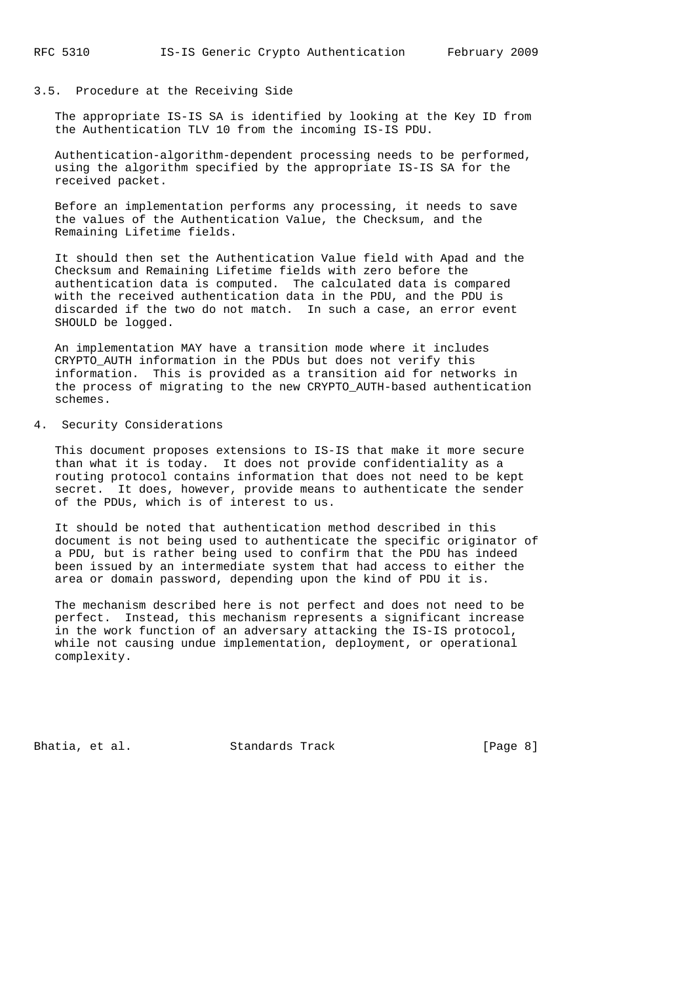# 3.5. Procedure at the Receiving Side

 The appropriate IS-IS SA is identified by looking at the Key ID from the Authentication TLV 10 from the incoming IS-IS PDU.

 Authentication-algorithm-dependent processing needs to be performed, using the algorithm specified by the appropriate IS-IS SA for the received packet.

 Before an implementation performs any processing, it needs to save the values of the Authentication Value, the Checksum, and the Remaining Lifetime fields.

 It should then set the Authentication Value field with Apad and the Checksum and Remaining Lifetime fields with zero before the authentication data is computed. The calculated data is compared with the received authentication data in the PDU, and the PDU is discarded if the two do not match. In such a case, an error event SHOULD be logged.

 An implementation MAY have a transition mode where it includes CRYPTO\_AUTH information in the PDUs but does not verify this information. This is provided as a transition aid for networks in the process of migrating to the new CRYPTO\_AUTH-based authentication schemes.

## 4. Security Considerations

 This document proposes extensions to IS-IS that make it more secure than what it is today. It does not provide confidentiality as a routing protocol contains information that does not need to be kept secret. It does, however, provide means to authenticate the sender of the PDUs, which is of interest to us.

 It should be noted that authentication method described in this document is not being used to authenticate the specific originator of a PDU, but is rather being used to confirm that the PDU has indeed been issued by an intermediate system that had access to either the area or domain password, depending upon the kind of PDU it is.

 The mechanism described here is not perfect and does not need to be perfect. Instead, this mechanism represents a significant increase in the work function of an adversary attacking the IS-IS protocol, while not causing undue implementation, deployment, or operational complexity.

Bhatia, et al. Standards Track [Page 8]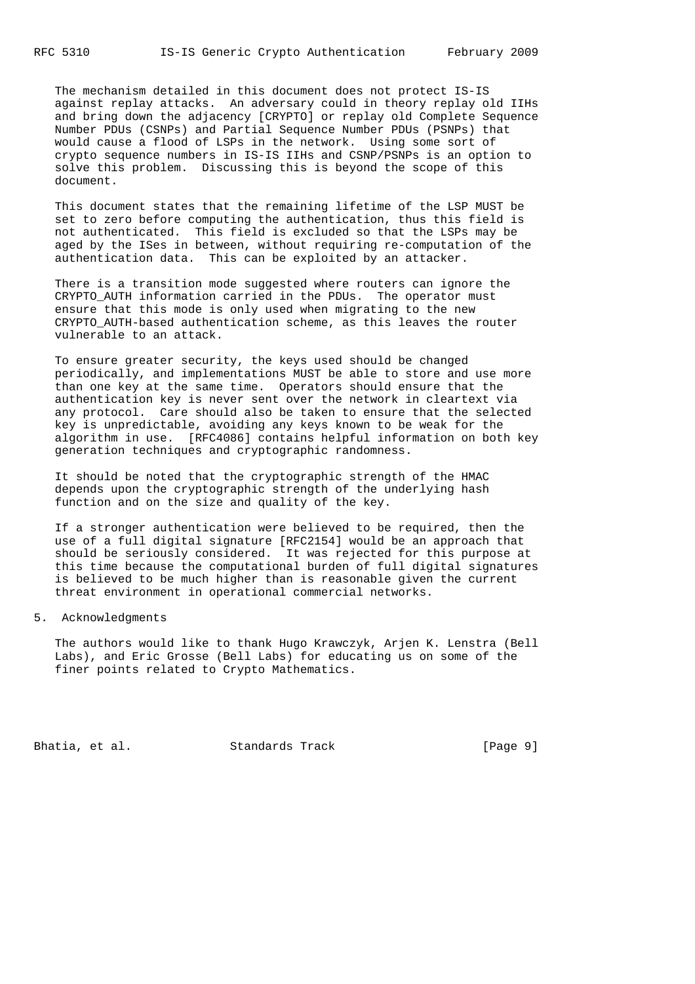The mechanism detailed in this document does not protect IS-IS against replay attacks. An adversary could in theory replay old IIHs and bring down the adjacency [CRYPTO] or replay old Complete Sequence Number PDUs (CSNPs) and Partial Sequence Number PDUs (PSNPs) that would cause a flood of LSPs in the network. Using some sort of crypto sequence numbers in IS-IS IIHs and CSNP/PSNPs is an option to solve this problem. Discussing this is beyond the scope of this document.

 This document states that the remaining lifetime of the LSP MUST be set to zero before computing the authentication, thus this field is not authenticated. This field is excluded so that the LSPs may be aged by the ISes in between, without requiring re-computation of the authentication data. This can be exploited by an attacker.

 There is a transition mode suggested where routers can ignore the CRYPTO\_AUTH information carried in the PDUs. The operator must ensure that this mode is only used when migrating to the new CRYPTO\_AUTH-based authentication scheme, as this leaves the router vulnerable to an attack.

 To ensure greater security, the keys used should be changed periodically, and implementations MUST be able to store and use more than one key at the same time. Operators should ensure that the authentication key is never sent over the network in cleartext via any protocol. Care should also be taken to ensure that the selected key is unpredictable, avoiding any keys known to be weak for the algorithm in use. [RFC4086] contains helpful information on both key generation techniques and cryptographic randomness.

 It should be noted that the cryptographic strength of the HMAC depends upon the cryptographic strength of the underlying hash function and on the size and quality of the key.

 If a stronger authentication were believed to be required, then the use of a full digital signature [RFC2154] would be an approach that should be seriously considered. It was rejected for this purpose at this time because the computational burden of full digital signatures is believed to be much higher than is reasonable given the current threat environment in operational commercial networks.

## 5. Acknowledgments

 The authors would like to thank Hugo Krawczyk, Arjen K. Lenstra (Bell Labs), and Eric Grosse (Bell Labs) for educating us on some of the finer points related to Crypto Mathematics.

Bhatia, et al. Standards Track [Page 9]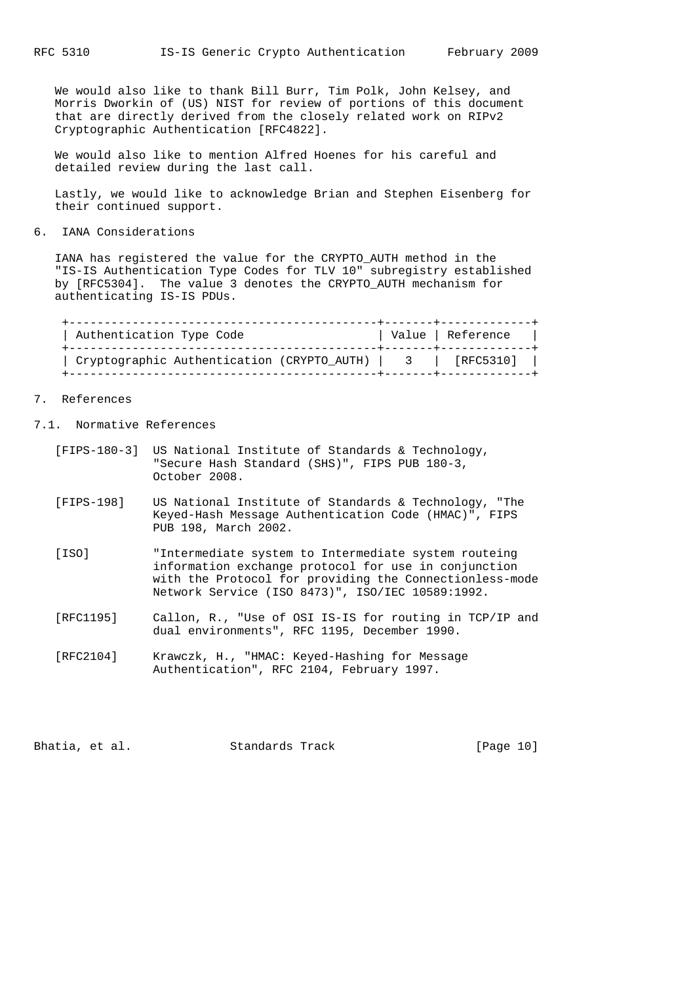We would also like to thank Bill Burr, Tim Polk, John Kelsey, and Morris Dworkin of (US) NIST for review of portions of this document that are directly derived from the closely related work on RIPv2 Cryptographic Authentication [RFC4822].

 We would also like to mention Alfred Hoenes for his careful and detailed review during the last call.

 Lastly, we would like to acknowledge Brian and Stephen Eisenberg for their continued support.

6. IANA Considerations

 IANA has registered the value for the CRYPTO\_AUTH method in the "IS-IS Authentication Type Codes for TLV 10" subregistry established by [RFC5304]. The value 3 denotes the CRYPTO\_AUTH mechanism for authenticating IS-IS PDUs.

| Authentication Type Code                       | Value   Reference |
|------------------------------------------------|-------------------|
| Cryptographic Authentication (CRYPTO_AUTH)   3 | [RFC5310]         |

# 7. References

7.1. Normative References

- [FIPS-180-3] US National Institute of Standards & Technology, "Secure Hash Standard (SHS)", FIPS PUB 180-3, October 2008.
- [FIPS-198] US National Institute of Standards & Technology, "The Keyed-Hash Message Authentication Code (HMAC)", FIPS PUB 198, March 2002.
- [ISO] "Intermediate system to Intermediate system routeing information exchange protocol for use in conjunction with the Protocol for providing the Connectionless-mode Network Service (ISO 8473)", ISO/IEC 10589:1992.
- [RFC1195] Callon, R., "Use of OSI IS-IS for routing in TCP/IP and dual environments", RFC 1195, December 1990.
- [RFC2104] Krawczk, H., "HMAC: Keyed-Hashing for Message Authentication", RFC 2104, February 1997.

Bhatia, et al. Standards Track [Page 10]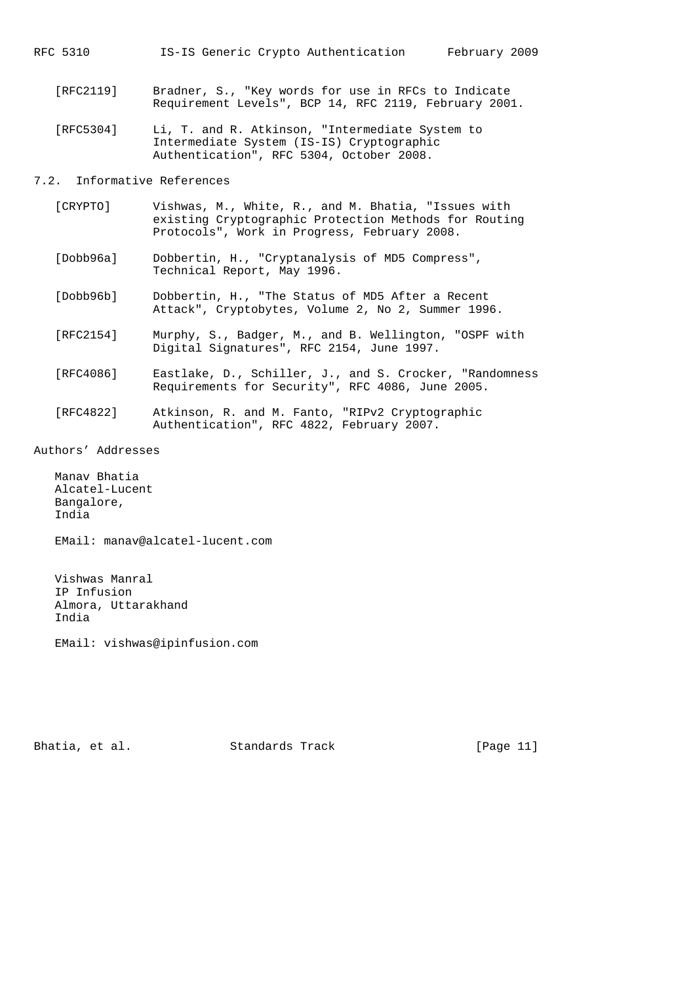RFC 5310 IS-IS Generic Crypto Authentication February 2009

- [RFC2119] Bradner, S., "Key words for use in RFCs to Indicate Requirement Levels", BCP 14, RFC 2119, February 2001.
- [RFC5304] Li, T. and R. Atkinson, "Intermediate System to Intermediate System (IS-IS) Cryptographic Authentication", RFC 5304, October 2008.

7.2. Informative References

- [CRYPTO] Vishwas, M., White, R., and M. Bhatia, "Issues with existing Cryptographic Protection Methods for Routing Protocols", Work in Progress, February 2008.
- [Dobb96a] Dobbertin, H., "Cryptanalysis of MD5 Compress", Technical Report, May 1996.
- [Dobb96b] Dobbertin, H., "The Status of MD5 After a Recent Attack", Cryptobytes, Volume 2, No 2, Summer 1996.
- [RFC2154] Murphy, S., Badger, M., and B. Wellington, "OSPF with Digital Signatures", RFC 2154, June 1997.
- [RFC4086] Eastlake, D., Schiller, J., and S. Crocker, "Randomness Requirements for Security", RFC 4086, June 2005.
	- [RFC4822] Atkinson, R. and M. Fanto, "RIPv2 Cryptographic Authentication", RFC 4822, February 2007.

Authors' Addresses

 Manav Bhatia Alcatel-Lucent Bangalore, India

EMail: manav@alcatel-lucent.com

 Vishwas Manral IP Infusion Almora, Uttarakhand India

EMail: vishwas@ipinfusion.com

Bhatia, et al. Standards Track [Page 11]